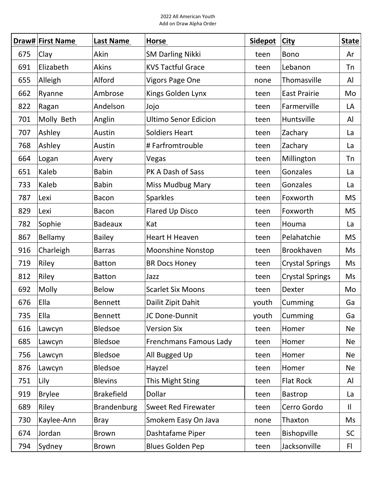|     | Draw# First Name | <b>Last Name</b>   | Horse                       | <b>Sidepot</b> | <b>City</b>            | <b>State</b> |
|-----|------------------|--------------------|-----------------------------|----------------|------------------------|--------------|
| 675 | Clay             | Akin               | <b>SM Darling Nikki</b>     | teen           | <b>Bono</b>            | Ar           |
| 691 | Elizabeth        | <b>Akins</b>       | <b>KVS Tactful Grace</b>    | teen           | Lebanon                | <b>Tn</b>    |
| 655 | Alleigh          | Alford             | <b>Vigors Page One</b>      | none           | Thomasville            | Al           |
| 662 | Ryanne           | Ambrose            | Kings Golden Lynx           | teen           | <b>East Prairie</b>    | Mo           |
| 822 | Ragan            | Andelson           | Jojo                        | teen           | Farmerville            | LA           |
| 701 | Molly Beth       | Anglin             | <b>Ultimo Senor Edicion</b> | teen           | Huntsville             | Al           |
| 707 | Ashley           | Austin             | <b>Soldiers Heart</b>       | teen           | Zachary                | La           |
| 768 | Ashley           | Austin             | # Farfromtrouble            | teen           | Zachary                | La           |
| 664 | Logan            | Avery              | Vegas                       | teen           | Millington             | Tn           |
| 651 | Kaleb            | <b>Babin</b>       | PK A Dash of Sass           | teen           | Gonzales               | La           |
| 733 | Kaleb            | <b>Babin</b>       | <b>Miss Mudbug Mary</b>     | teen           | Gonzales               | La           |
| 787 | Lexi             | <b>Bacon</b>       | Sparkles                    | teen           | Foxworth               | <b>MS</b>    |
| 829 | Lexi             | <b>Bacon</b>       | <b>Flared Up Disco</b>      | teen           | Foxworth               | <b>MS</b>    |
| 782 | Sophie           | <b>Badeaux</b>     | Kat                         | teen           | Houma                  | La           |
| 867 | Bellamy          | <b>Bailey</b>      | Heart H Heaven              | teen           | Pelahatchie            | <b>MS</b>    |
| 916 | Charleigh        | <b>Barras</b>      | <b>Moonshine Nonstop</b>    | teen           | Brookhaven             | Ms           |
| 719 | Riley            | <b>Batton</b>      | <b>BR Docs Honey</b>        | teen           | <b>Crystal Springs</b> | Ms           |
| 812 | Riley            | <b>Batton</b>      | Jazz                        | teen           | <b>Crystal Springs</b> | Ms           |
| 692 | Molly            | <b>Below</b>       | <b>Scarlet Six Moons</b>    | teen           | Dexter                 | Mo           |
| 676 | Ella             | <b>Bennett</b>     | Dailit Zipit Dahit          | youth          | Cumming                | Ga           |
| 735 | Ella             | <b>Bennett</b>     | JC Done-Dunnit              | youth          | Cumming                | Ga           |
| 616 | Lawcyn           | <b>Bledsoe</b>     | <b>Version Six</b>          | teen           | Homer                  | Ne           |
| 685 | Lawcyn           | <b>Bledsoe</b>     | Frenchmans Famous Lady      | teen           | Homer                  | <b>Ne</b>    |
| 756 | Lawcyn           | <b>Bledsoe</b>     | All Bugged Up               | teen           | Homer                  | Ne           |
| 876 | Lawcyn           | <b>Bledsoe</b>     | Hayzel                      | teen           | Homer                  | <b>Ne</b>    |
| 751 | Lily             | <b>Blevins</b>     | This Might Sting            | teen           | <b>Flat Rock</b>       | Al           |
| 919 | <b>Brylee</b>    | <b>Brakefield</b>  | Dollar                      | teen           | Bastrop                | La           |
| 689 | Riley            | <b>Brandenburg</b> | Sweet Red Firewater         | teen           | Cerro Gordo            | $\mathbf{I}$ |
| 730 | Kaylee-Ann       | <b>Bray</b>        | Smokem Easy On Java         | none           | Thaxton                | Ms           |
| 674 | Jordan           | <b>Brown</b>       | Dashtafame Piper            | teen           | Bishopville            | <b>SC</b>    |
| 794 | Sydney           | <b>Brown</b>       | <b>Blues Golden Pep</b>     | teen           | Jacksonville           | FI.          |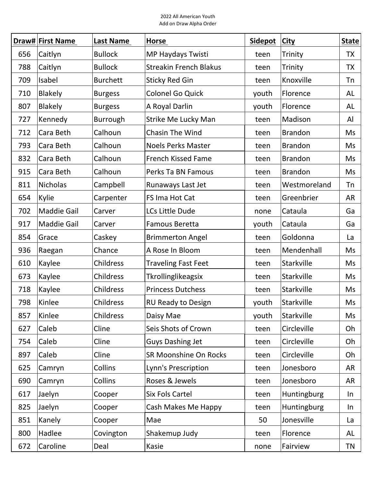|     | Draw# First Name   | Last Name        | Horse                         | <b>Sidepot</b> | <b>City</b>    | <b>State</b> |
|-----|--------------------|------------------|-------------------------------|----------------|----------------|--------------|
| 656 | Caitlyn            | <b>Bullock</b>   | MP Haydays Twisti             | teen           | Trinity        | <b>TX</b>    |
| 788 | Caitlyn            | <b>Bullock</b>   | <b>Streakin French Blakus</b> | teen           | Trinity        | <b>TX</b>    |
| 709 | Isabel             | <b>Burchett</b>  | <b>Sticky Red Gin</b>         | teen           | Knoxville      | Tn           |
| 710 | <b>Blakely</b>     | <b>Burgess</b>   | <b>Colonel Go Quick</b>       | youth          | Florence       | AL           |
| 807 | <b>Blakely</b>     | <b>Burgess</b>   | A Royal Darlin                | youth          | Florence       | AL           |
| 727 | Kennedy            | Burrough         | Strike Me Lucky Man           | teen           | Madison        | Al           |
| 712 | Cara Beth          | Calhoun          | <b>Chasin The Wind</b>        | teen           | <b>Brandon</b> | Ms           |
| 793 | Cara Beth          | Calhoun          | <b>Noels Perks Master</b>     | teen           | <b>Brandon</b> | Ms           |
| 832 | Cara Beth          | Calhoun          | <b>French Kissed Fame</b>     | teen           | <b>Brandon</b> | Ms           |
| 915 | Cara Beth          | Calhoun          | Perks Ta BN Famous            | teen           | <b>Brandon</b> | Ms           |
| 811 | <b>Nicholas</b>    | Campbell         | Runaways Last Jet             | teen           | Westmoreland   | Tn           |
| 654 | Kylie              | Carpenter        | FS Ima Hot Cat                | teen           | Greenbrier     | <b>AR</b>    |
| 702 | <b>Maddie Gail</b> | Carver           | LCs Little Dude               | none           | Cataula        | Ga           |
| 917 | <b>Maddie Gail</b> | Carver           | Famous Beretta                | youth          | Cataula        | Ga           |
| 854 | Grace              | Caskey           | <b>Brimmerton Angel</b>       | teen           | Goldonna       | La           |
| 936 | Raegan             | Chance           | A Rose In Bloom               | teen           | Mendenhall     | Ms           |
| 610 | Kaylee             | <b>Childress</b> | <b>Traveling Fast Feet</b>    | teen           | Starkville     | Ms           |
| 673 | Kaylee             | <b>Childress</b> | Tkrollinglikeagsix            | teen           | Starkville     | Ms           |
| 718 | Kaylee             | <b>Childress</b> | <b>Princess Dutchess</b>      | teen           | Starkville     | Ms           |
| 798 | Kinlee             | <b>Childress</b> | <b>RU Ready to Design</b>     | youth          | Starkville     | Ms           |
| 857 | Kinlee             | <b>Childress</b> | Daisy Mae                     | youth          | Starkville     | Ms           |
| 627 | Caleb              | Cline            | Seis Shots of Crown           | teen           | Circleville    | Oh           |
| 754 | Caleb              | Cline            | <b>Guys Dashing Jet</b>       | teen           | Circleville    | Oh           |
| 897 | Caleb              | Cline            | SR Moonshine On Rocks         | teen           | Circleville    | Oh           |
| 625 | Camryn             | Collins          | Lynn's Prescription           | teen           | Jonesboro      | AR           |
| 690 | Camryn             | Collins          | Roses & Jewels                | teen           | Jonesboro      | AR           |
| 617 | Jaelyn             | Cooper           | Six Fols Cartel               | teen           | Huntingburg    | In           |
| 825 | Jaelyn             | Cooper           | Cash Makes Me Happy           | teen           | Huntingburg    | In           |
| 851 | Kanely             | Cooper           | Mae                           | 50             | Jonesville     | La           |
| 800 | Hadlee             | Covington        | Shakemup Judy                 | teen           | Florence       | AL           |
| 672 | Caroline           | Deal             | Kasie                         | none           | Fairview       | TN           |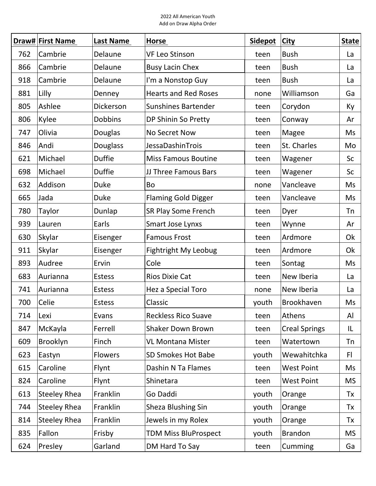|     | Draw# First Name    | <b>Last Name</b> | <b>Horse</b>                | <b>Sidepot</b> | <b>City</b>          | State     |
|-----|---------------------|------------------|-----------------------------|----------------|----------------------|-----------|
| 762 | Cambrie             | Delaune          | <b>VF Leo Stinson</b>       | teen           | <b>Bush</b>          | La        |
| 866 | Cambrie             | Delaune          | <b>Busy Lacin Chex</b>      | teen           | <b>Bush</b>          | La        |
| 918 | Cambrie             | Delaune          | I'm a Nonstop Guy           | teen           | <b>Bush</b>          | La        |
| 881 | Lilly               | Denney           | <b>Hearts and Red Roses</b> | none           | Williamson           | Ga        |
| 805 | Ashlee              | Dickerson        | <b>Sunshines Bartender</b>  | teen           | Corydon              | Ky        |
| 806 | Kylee               | <b>Dobbins</b>   | DP Shinin So Pretty         | teen           | Conway               | Ar        |
| 747 | Olivia              | Douglas          | No Secret Now               | teen           | Magee                | Ms        |
| 846 | Andi                | Douglass         | JessaDashinTrois            | teen           | St. Charles          | Mo        |
| 621 | Michael             | <b>Duffie</b>    | <b>Miss Famous Boutine</b>  | teen           | Wagener              | Sc        |
| 698 | Michael             | <b>Duffie</b>    | JJ Three Famous Bars        | teen           | Wagener              | Sc        |
| 632 | Addison             | <b>Duke</b>      | Bo                          | none           | Vancleave            | Ms        |
| 665 | Jada                | <b>Duke</b>      | <b>Flaming Gold Digger</b>  | teen           | Vancleave            | Ms        |
| 780 | <b>Taylor</b>       | Dunlap           | <b>SR Play Some French</b>  | teen           | Dyer                 | <b>Tn</b> |
| 939 | Lauren              | Earls            | Smart Jose Lynxs            | teen           | Wynne                | Ar        |
| 630 | Skylar              | Eisenger         | <b>Famous Frost</b>         | teen           | Ardmore              | Ok        |
| 911 | Skylar              | Eisenger         | <b>Fightright My Leobug</b> | teen           | Ardmore              | Ok        |
| 893 | Audree              | Ervin            | Cole                        | teen           | Sontag               | Ms        |
| 683 | Aurianna            | Estess           | <b>Rios Dixie Cat</b>       | teen           | New Iberia           | La        |
| 741 | Aurianna            | <b>Estess</b>    | Hez a Special Toro          | none           | New Iberia           | La        |
| 700 | Celie               | <b>Estess</b>    | Classic                     | youth          | Brookhaven           | Ms        |
| 714 | Lexi                | Evans            | <b>Reckless Rico Suave</b>  | teen           | Athens               | Al        |
| 847 | McKayla             | Ferrell          | <b>Shaker Down Brown</b>    | teen           | <b>Creal Springs</b> | IL        |
| 609 | Brooklyn            | Finch            | <b>VL Montana Mister</b>    | teen           | Watertown            | Tn        |
| 623 | Eastyn              | <b>Flowers</b>   | SD Smokes Hot Babe          | youth          | Wewahitchka          | FI.       |
| 615 | Caroline            | Flynt            | Dashin N Ta Flames          | teen           | <b>West Point</b>    | Ms        |
| 824 | Caroline            | Flynt            | Shinetara                   | teen           | <b>West Point</b>    | <b>MS</b> |
| 613 | <b>Steeley Rhea</b> | Franklin         | Go Daddi                    | youth          | Orange               | Tx        |
| 744 | <b>Steeley Rhea</b> | Franklin         | Sheza Blushing Sin          | youth          | Orange               | Tx        |
| 814 | <b>Steeley Rhea</b> | Franklin         | Jewels in my Rolex          | youth          | Orange               | Tx        |
| 835 | Fallon              | Frisby           | <b>TDM Miss BluProspect</b> | youth          | <b>Brandon</b>       | <b>MS</b> |
| 624 | Presley             | Garland          | DM Hard To Say              | teen           | Cumming              | Ga        |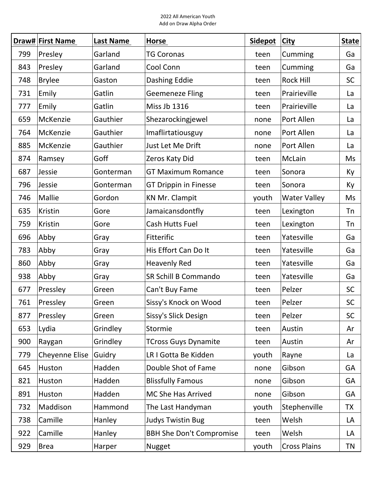|     | Draw# First Name | Last Name | Horse                           | <b>Sidepot</b> | <b>City</b>         | <b>State</b> |
|-----|------------------|-----------|---------------------------------|----------------|---------------------|--------------|
| 799 | Presley          | Garland   | <b>TG Coronas</b>               | teen           | Cumming             | Ga           |
| 843 | Presley          | Garland   | Cool Conn                       | teen           | Cumming             | Ga           |
| 748 | <b>Brylee</b>    | Gaston    | Dashing Eddie                   | teen           | <b>Rock Hill</b>    | <b>SC</b>    |
| 731 | Emily            | Gatlin    | <b>Geemeneze Fling</b>          | teen           | Prairieville        | La           |
| 777 | Emily            | Gatlin    | <b>Miss Jb 1316</b>             | teen           | Prairieville        | La           |
| 659 | McKenzie         | Gauthier  | Shezarockingjewel               | none           | Port Allen          | La           |
| 764 | McKenzie         | Gauthier  | Imaflirtatiousguy               | none           | Port Allen          | La           |
| 885 | McKenzie         | Gauthier  | Just Let Me Drift               | none           | Port Allen          | La           |
| 874 | Ramsey           | Goff      | Zeros Katy Did                  | teen           | McLain              | Ms           |
| 687 | Jessie           | Gonterman | <b>GT Maximum Romance</b>       | teen           | Sonora              | Ky           |
| 796 | Jessie           | Gonterman | <b>GT Drippin in Finesse</b>    | teen           | Sonora              | Ky           |
| 746 | Mallie           | Gordon    | <b>KN Mr. Clampit</b>           | youth          | <b>Water Valley</b> | Ms           |
| 635 | Kristin          | Gore      | Jamaicansdontfly                | teen           | Lexington           | Tn           |
| 759 | Kristin          | Gore      | Cash Hutts Fuel                 | teen           | Lexington           | Tn           |
| 696 | Abby             | Gray      | Fitterific                      | teen           | Yatesville          | Ga           |
| 783 | Abby             | Gray      | His Effort Can Do It            | teen           | Yatesville          | Ga           |
| 860 | Abby             | Gray      | <b>Heavenly Red</b>             | teen           | Yatesville          | Ga           |
| 938 | Abby             | Gray      | SR Schill B Commando            | teen           | Yatesville          | Ga           |
| 677 | Pressley         | Green     | Can't Buy Fame                  | teen           | Pelzer              | <b>SC</b>    |
| 761 | Pressley         | Green     | Sissy's Knock on Wood           | teen           | Pelzer              | <b>SC</b>    |
| 877 | Pressley         | Green     | Sissy's Slick Design            | teen           | Pelzer              | SC           |
| 653 | Lydia            | Grindley  | Stormie                         | teen           | Austin              | Ar           |
| 900 | Raygan           | Grindley  | <b>TCross Guys Dynamite</b>     | teen           | Austin              | Ar           |
| 779 | Cheyenne Elise   | Guidry    | LR I Gotta Be Kidden            | youth          | Rayne               | La           |
| 645 | Huston           | Hadden    | Double Shot of Fame             | none           | Gibson              | <b>GA</b>    |
| 821 | Huston           | Hadden    | <b>Blissfully Famous</b>        | none           | Gibson              | GA           |
| 891 | Huston           | Hadden    | MC She Has Arrived              | none           | Gibson              | GA           |
| 732 | Maddison         | Hammond   | The Last Handyman               | youth          | Stephenville        | <b>TX</b>    |
| 738 | Camille          | Hanley    | <b>Judys Twistin Bug</b>        | teen           | Welsh               | LA           |
| 922 | Camille          | Hanley    | <b>BBH She Don't Compromise</b> | teen           | Welsh               | LA           |
| 929 | <b>Brea</b>      | Harper    | Nugget                          | youth          | <b>Cross Plains</b> | TN           |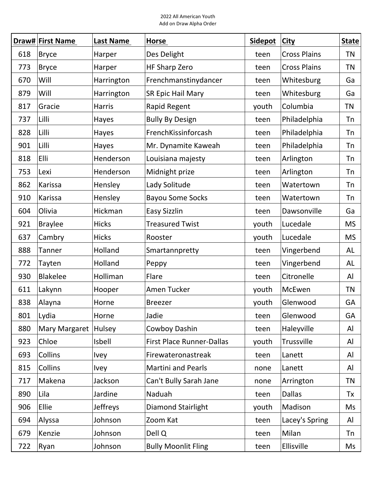|     | Draw# First Name | Last Name       | <b>Horse</b>                     | <b>Sidepot</b> | <b>City</b>         | <b>State</b> |
|-----|------------------|-----------------|----------------------------------|----------------|---------------------|--------------|
| 618 | <b>Bryce</b>     | Harper          | Des Delight                      | teen           | <b>Cross Plains</b> | <b>TN</b>    |
| 773 | <b>Bryce</b>     | Harper          | <b>HF Sharp Zero</b>             | teen           | <b>Cross Plains</b> | <b>TN</b>    |
| 670 | Will             | Harrington      | Frenchmanstinydancer             | teen           | Whitesburg          | Ga           |
| 879 | Will             | Harrington      | SR Epic Hail Mary                | teen           | Whitesburg          | Ga           |
| 817 | Gracie           | <b>Harris</b>   | Rapid Regent                     | youth          | Columbia            | <b>TN</b>    |
| 737 | Lilli            | Hayes           | <b>Bully By Design</b>           | teen           | Philadelphia        | Tn           |
| 828 | Lilli            | Hayes           | FrenchKissinforcash              | teen           | Philadelphia        | Tn           |
| 901 | Lilli            | Hayes           | Mr. Dynamite Kaweah              | teen           | Philadelphia        | Tn           |
| 818 | Elli             | Henderson       | Louisiana majesty                | teen           | Arlington           | Tn           |
| 753 | Lexi             | Henderson       | Midnight prize                   | teen           | Arlington           | <b>Tn</b>    |
| 862 | Karissa          | Hensley         | Lady Solitude                    | teen           | Watertown           | Tn           |
| 910 | Karissa          | Hensley         | <b>Bayou Some Socks</b>          | teen           | Watertown           | Tn           |
| 604 | Olivia           | Hickman         | Easy Sizzlin                     | teen           | Dawsonville         | Ga           |
| 921 | <b>Braylee</b>   | <b>Hicks</b>    | <b>Treasured Twist</b>           | youth          | Lucedale            | <b>MS</b>    |
| 637 | Cambry           | <b>Hicks</b>    | Rooster                          | youth          | Lucedale            | <b>MS</b>    |
| 888 | Tanner           | Holland         | Smartannpretty                   | teen           | Vingerbend          | AL           |
| 772 | Tayten           | Holland         | Peppy                            | teen           | Vingerbend          | AL           |
| 930 | <b>Blakelee</b>  | Holliman        | Flare                            | teen           | Citronelle          | Al           |
| 611 | Lakynn           | Hooper          | Amen Tucker                      | youth          | McEwen              | <b>TN</b>    |
| 838 | Alayna           | Horne           | <b>Breezer</b>                   | youth          | Glenwood            | GA           |
| 801 | Lydia            | Horne           | Jadie                            | teen           | Glenwood            | GA           |
| 880 | Mary Margaret    | Hulsey          | Cowboy Dashin                    | teen           | Haleyville          | Al           |
| 923 | Chloe            | <b>Isbell</b>   | <b>First Place Runner-Dallas</b> | youth          | Trussville          | Al           |
| 693 | Collins          | <b>Ivey</b>     | Firewateronastreak               | teen           | Lanett              | Al           |
| 815 | Collins          | <b>Ivey</b>     | <b>Martini and Pearls</b>        | none           | Lanett              | Al           |
| 717 | Makena           | Jackson         | Can't Bully Sarah Jane           | none           | Arrington           | <b>TN</b>    |
| 890 | Lila             | Jardine         | Naduah                           | teen           | <b>Dallas</b>       | Tx           |
| 906 | Ellie            | <b>Jeffreys</b> | Diamond Stairlight               | youth          | Madison             | Ms           |
| 694 | Alyssa           | Johnson         | Zoom Kat                         | teen           | Lacey's Spring      | Al           |
| 679 | Kenzie           | Johnson         | Dell Q                           | teen           | Milan               | <b>Tn</b>    |
| 722 | Ryan             | Johnson         | <b>Bully Moonlit Fling</b>       | teen           | Ellisville          | Ms           |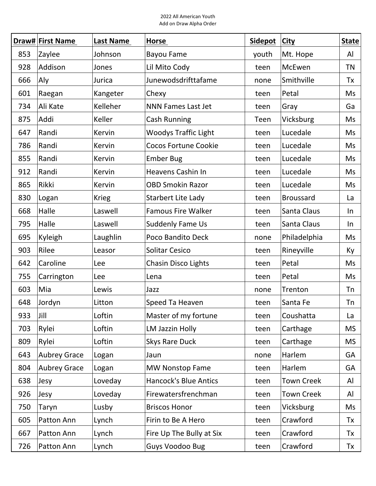|     | <b>Draw# First Name</b> | <b>Last Name</b> | <b>Horse</b>                 | <b>Sidepot</b> | <b>City</b>       | <b>State</b> |
|-----|-------------------------|------------------|------------------------------|----------------|-------------------|--------------|
| 853 | Zaylee                  | Johnson          | <b>Bayou Fame</b>            | youth          | Mt. Hope          | Al           |
| 928 | Addison                 | Jones            | Lil Mito Cody                | teen           | McEwen            | <b>TN</b>    |
| 666 | Aly                     | Jurica           | Junewodsdrifttafame          | none           | Smithville        | Tx           |
| 601 | Raegan                  | Kangeter         | Chexy                        | teen           | Petal             | Ms           |
| 734 | Ali Kate                | Kelleher         | <b>NNN Fames Last Jet</b>    | teen           | Gray              | Ga           |
| 875 | Addi                    | Keller           | <b>Cash Running</b>          | Teen           | Vicksburg         | Ms           |
| 647 | Randi                   | Kervin           | <b>Woodys Traffic Light</b>  | teen           | Lucedale          | Ms           |
| 786 | Randi                   | Kervin           | <b>Cocos Fortune Cookie</b>  | teen           | Lucedale          | <b>Ms</b>    |
| 855 | Randi                   | Kervin           | <b>Ember Bug</b>             | teen           | Lucedale          | Ms           |
| 912 | Randi                   | Kervin           | <b>Heavens Cashin In</b>     | teen           | Lucedale          | Ms           |
| 865 | Rikki                   | <b>Kervin</b>    | <b>OBD Smokin Razor</b>      | teen           | Lucedale          | Ms           |
| 830 | Logan                   | <b>Krieg</b>     | Starbert Lite Lady           | teen           | <b>Broussard</b>  | La           |
| 668 | Halle                   | Laswell          | <b>Famous Fire Walker</b>    | teen           | Santa Claus       | In           |
| 795 | Halle                   | Laswell          | Suddenly Fame Us             | teen           | Santa Claus       | $\ln$        |
| 695 | Kyleigh                 | Laughlin         | Poco Bandito Deck            | none           | Philadelphia      | Ms           |
| 903 | Rilee                   | Leasor           | <b>Solitar Cesico</b>        | teen           | Rineyville        | Кy           |
| 642 | Caroline                | Lee              | <b>Chasin Disco Lights</b>   | teen           | Petal             | Ms           |
| 755 | Carrington              | Lee              | Lena                         | teen           | Petal             | Ms           |
| 603 | Mia                     | Lewis            | Jazz                         | none           | Trenton           | Tn           |
| 648 | Jordyn                  | Litton           | Speed Ta Heaven              | teen           | Santa Fe          | Tn           |
| 933 | Jill                    | Loftin           | Master of my fortune         | teen           | Coushatta         | La           |
| 703 | Rylei                   | Loftin           | LM Jazzin Holly              | teen           | Carthage          | <b>MS</b>    |
| 809 | Rylei                   | Loftin           | <b>Skys Rare Duck</b>        | teen           | Carthage          | <b>MS</b>    |
| 643 | <b>Aubrey Grace</b>     | Logan            | Jaun                         | none           | Harlem            | GA           |
| 804 | <b>Aubrey Grace</b>     | Logan            | <b>MW Nonstop Fame</b>       | teen           | Harlem            | GA           |
| 638 | Jesy                    | Loveday          | <b>Hancock's Blue Antics</b> | teen           | <b>Town Creek</b> | Al           |
| 926 | Jesy                    | Loveday          | Firewatersfrenchman          | teen           | <b>Town Creek</b> | Al           |
| 750 | Taryn                   | Lusby            | <b>Briscos Honor</b>         | teen           | Vicksburg         | Ms           |
| 605 | Patton Ann              | Lynch            | Firin to Be A Hero           | teen           | Crawford          | Tx           |
| 667 | Patton Ann              | Lynch            | Fire Up The Bully at Six     | teen           | Crawford          | Tx           |
| 726 | Patton Ann              | Lynch            | <b>Guys Voodoo Bug</b>       | teen           | Crawford          | Tx           |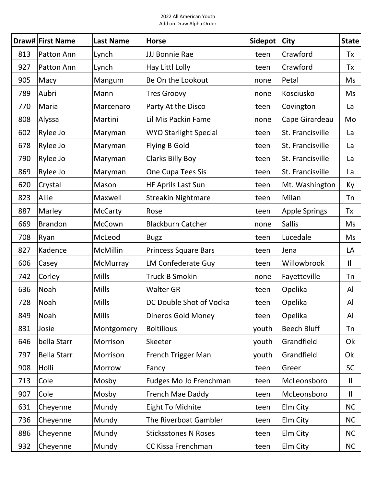|     | Draw# First Name   | Last Name       | Horse                        | <b>Sidepot</b> | <b>City</b>          | <b>State</b> |
|-----|--------------------|-----------------|------------------------------|----------------|----------------------|--------------|
| 813 | Patton Ann         | Lynch           | JJJ Bonnie Rae               | teen           | Crawford             | Tx           |
| 927 | Patton Ann         | Lynch           | Hay Littl Lolly              | teen           | Crawford             | Tx           |
| 905 | Macy               | Mangum          | Be On the Lookout            | none           | Petal                | Ms           |
| 789 | Aubri              | Mann            | <b>Tres Groovy</b>           | none           | Kosciusko            | Ms           |
| 770 | Maria              | Marcenaro       | Party At the Disco           | teen           | Covington            | La           |
| 808 | Alyssa             | Martini         | Lil Mis Packin Fame          | none           | Cape Girardeau       | Mo           |
| 602 | Rylee Jo           | Maryman         | <b>WYO Starlight Special</b> | teen           | St. Francisville     | La           |
| 678 | Rylee Jo           | Maryman         | <b>Flying B Gold</b>         | teen           | St. Francisville     | La           |
| 790 | Rylee Jo           | Maryman         | <b>Clarks Billy Boy</b>      | teen           | St. Francisville     | La           |
| 869 | Rylee Jo           | Maryman         | One Cupa Tees Sis            | teen           | St. Francisville     | La           |
| 620 | Crystal            | Mason           | HF Aprils Last Sun           | teen           | Mt. Washington       | Ky           |
| 823 | Allie              | Maxwell         | <b>Streakin Nightmare</b>    | teen           | Milan                | <b>Tn</b>    |
| 887 | Marley             | <b>McCarty</b>  | Rose                         | teen           | <b>Apple Springs</b> | Tx           |
| 669 | <b>Brandon</b>     | McCown          | <b>Blackburn Catcher</b>     | none           | <b>Sallis</b>        | Ms           |
| 708 | Ryan               | McLeod          | <b>Bugz</b>                  | teen           | Lucedale             | Ms           |
| 827 | Kadence            | <b>McMillin</b> | Princess Square Bars         | teen           | Jena                 | LA           |
| 606 | Casey              | McMurray        | LM Confederate Guy           | teen           | Willowbrook          | $\mathsf{I}$ |
| 742 | Corley             | <b>Mills</b>    | <b>Truck B Smokin</b>        | none           | Fayetteville         | <b>Tn</b>    |
| 636 | Noah               | <b>Mills</b>    | <b>Walter GR</b>             | teen           | Opelika              | Al           |
| 728 | Noah               | Mills           | DC Double Shot of Vodka      | teen           | Opelika              | Al           |
| 849 | Noah               | Mills           | <b>Dineros Gold Money</b>    | teen           | Opelika              | Al           |
| 831 | Josie              | Montgomery      | <b>Boltilious</b>            | youth          | <b>Beech Bluff</b>   | Tn           |
| 646 | bella Starr        | Morrison        | Skeeter                      | youth          | Grandfield           | Ok           |
| 797 | <b>Bella Starr</b> | Morrison        | French Trigger Man           | youth          | Grandfield           | Ok           |
| 908 | Holli              | Morrow          | Fancy                        | teen           | Greer                | <b>SC</b>    |
| 713 | Cole               | Mosby           | Fudges Mo Jo Frenchman       | teen           | McLeonsboro          | $\mathbf{H}$ |
| 907 | Cole               | Mosby           | French Mae Daddy             | teen           | McLeonsboro          | $\mathbf{I}$ |
| 631 | Cheyenne           | Mundy           | <b>Eight To Midnite</b>      | teen           | Elm City             | <b>NC</b>    |
| 736 | Cheyenne           | Mundy           | The Riverboat Gambler        | teen           | Elm City             | <b>NC</b>    |
| 886 | Cheyenne           | Mundy           | <b>Sticksstones N Roses</b>  | teen           | Elm City             | <b>NC</b>    |
| 932 | Cheyenne           | Mundy           | CC Kissa Frenchman           | teen           | Elm City             | <b>NC</b>    |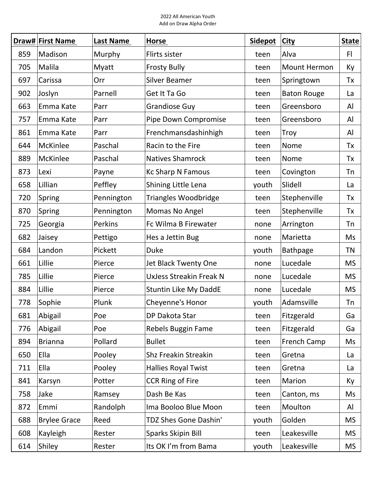|     | Draw# First Name    | Last Name  | <b>Horse</b>                   | <b>Sidepot</b> | <b>City</b>         | <b>State</b> |
|-----|---------------------|------------|--------------------------------|----------------|---------------------|--------------|
| 859 | Madison             | Murphy     | Flirts sister                  | teen           | Alva                | F            |
| 705 | Malila              | Myatt      | <b>Frosty Bully</b>            | teen           | <b>Mount Hermon</b> | Ky           |
| 697 | Carissa             | Orr        | <b>Silver Beamer</b>           | teen           | Springtown          | Tx           |
| 902 | Joslyn              | Parnell    | Get It Ta Go                   | teen           | <b>Baton Rouge</b>  | La           |
| 663 | Emma Kate           | Parr       | <b>Grandiose Guy</b>           | teen           | Greensboro          | Al           |
| 757 | Emma Kate           | Parr       | Pipe Down Compromise           | teen           | Greensboro          | Al           |
| 861 | Emma Kate           | Parr       | Frenchmansdashinhigh           | teen           | Troy                | Al           |
| 644 | McKinlee            | Paschal    | Racin to the Fire              | teen           | Nome                | Tx           |
| 889 | McKinlee            | Paschal    | <b>Natives Shamrock</b>        | teen           | Nome                | Tx           |
| 873 | Lexi                | Payne      | <b>Kc Sharp N Famous</b>       | teen           | Covington           | <b>Tn</b>    |
| 658 | Lillian             | Peffley    | Shining Little Lena            | youth          | Slidell             | La           |
| 720 | Spring              | Pennington | <b>Triangles Woodbridge</b>    | teen           | Stephenville        | Tx           |
| 870 | Spring              | Pennington | Momas No Angel                 | teen           | Stephenville        | Tx           |
| 725 | Georgia             | Perkins    | Fc Wilma B Firewater           | none           | Arrington           | Tn           |
| 682 | Jaisey              | Pettigo    | Hes a Jettin Bug               | none           | Marietta            | Ms           |
| 684 | Landon              | Pickett    | <b>Duke</b>                    | youth          | <b>Bathpage</b>     | <b>TN</b>    |
| 661 | Lillie              | Pierce     | Jet Black Twenty One           | none           | Lucedale            | <b>MS</b>    |
| 785 | Lillie              | Pierce     | <b>UxJess Streakin Freak N</b> | none           | Lucedale            | <b>MS</b>    |
| 884 | Lillie              | Pierce     | <b>Stuntin Like My DaddE</b>   | none           | Lucedale            | <b>MS</b>    |
| 778 | Sophie              | Plunk      | Cheyenne's Honor               | youth          | Adamsville          | Tn           |
| 681 | Abigail             | Poe        | DP Dakota Star                 | teen           | Fitzgerald          | Ga           |
| 776 | Abigail             | Poe        | Rebels Buggin Fame             | teen           | Fitzgerald          | Ga           |
| 894 | <b>Brianna</b>      | Pollard    | <b>Bullet</b>                  | teen           | <b>French Camp</b>  | Ms           |
| 650 | Ella                | Pooley     | <b>Shz Freakin Streakin</b>    | teen           | Gretna              | La           |
| 711 | Ella                | Pooley     | <b>Hallies Royal Twist</b>     | teen           | Gretna              | La           |
| 841 | Karsyn              | Potter     | <b>CCR Ring of Fire</b>        | teen           | Marion              | Ky           |
| 758 | Jake                | Ramsey     | Dash Be Kas                    | teen           | Canton, ms          | Ms           |
| 872 | Emmi                | Randolph   | Ima Booloo Blue Moon           | teen           | Moulton             | Al           |
| 688 | <b>Brylee Grace</b> | Reed       | TDZ Shes Gone Dashin'          | youth          | Golden              | <b>MS</b>    |
| 608 | Kayleigh            | Rester     | Sparks Skipin Bill             | teen           | Leakesville         | <b>MS</b>    |
| 614 | Shiley              | Rester     | Its OK I'm from Bama           | youth          | Leakesville         | <b>MS</b>    |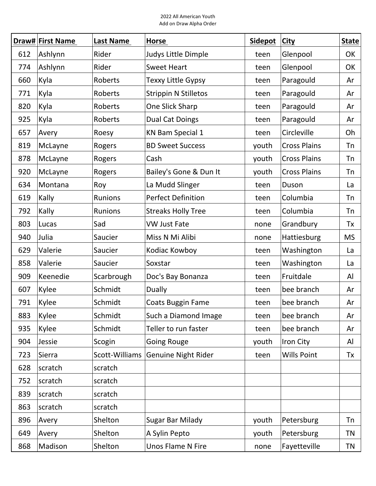|     | Draw# First Name | <b>Last Name</b> | <b>Horse</b>                | <b>Sidepot</b> | <b>City</b>         | <b>State</b> |
|-----|------------------|------------------|-----------------------------|----------------|---------------------|--------------|
| 612 | Ashlynn          | Rider            | Judys Little Dimple         | teen           | Glenpool            | OK           |
| 774 | Ashlynn          | Rider            | <b>Sweet Heart</b>          | teen           | Glenpool            | OK           |
| 660 | Kyla             | Roberts          | Texxy Little Gypsy          | teen           | Paragould           | Ar           |
| 771 | Kyla             | Roberts          | <b>Strippin N Stilletos</b> | teen           | Paragould           | Ar           |
| 820 | Kyla             | Roberts          | One Slick Sharp             | teen           | Paragould           | Ar           |
| 925 | Kyla             | Roberts          | <b>Dual Cat Doings</b>      | teen           | Paragould           | Ar           |
| 657 | Avery            | Roesy            | <b>KN Bam Special 1</b>     | teen           | Circleville         | Oh           |
| 819 | McLayne          | Rogers           | <b>BD Sweet Success</b>     | youth          | <b>Cross Plains</b> | Tn           |
| 878 | McLayne          | Rogers           | Cash                        | youth          | <b>Cross Plains</b> | Tn           |
| 920 | McLayne          | Rogers           | Bailey's Gone & Dun It      | youth          | <b>Cross Plains</b> | Tn           |
| 634 | Montana          | Roy              | La Mudd Slinger             | teen           | Duson               | La           |
| 619 | Kally            | Runions          | <b>Perfect Definition</b>   | teen           | Columbia            | <b>Tn</b>    |
| 792 | Kally            | <b>Runions</b>   | <b>Streaks Holly Tree</b>   | teen           | Columbia            | <b>Tn</b>    |
| 803 | Lucas            | Sad              | <b>VW Just Fate</b>         | none           | Grandbury           | Tx           |
| 940 | Julia            | Saucier          | Miss N Mi Alibi             | none           | Hattiesburg         | <b>MS</b>    |
| 629 | Valerie          | Saucier          | Kodiac Kowboy               | teen           | Washington          | La           |
| 858 | Valerie          | Saucier          | Soxstar                     | teen           | Washington          | La           |
| 909 | Keenedie         | Scarbrough       | Doc's Bay Bonanza           | teen           | Fruitdale           | Al           |
| 607 | Kylee            | Schmidt          | <b>Dually</b>               | teen           | bee branch          | Ar           |
| 791 | Kylee            | Schmidt          | Coats Buggin Fame           | teen           | bee branch          | Ar           |
| 883 | Kylee            | Schmidt          | Such a Diamond Image        | teen           | bee branch          | Ar           |
| 935 | Kylee            | Schmidt          | Teller to run faster        | teen           | bee branch          | Ar           |
| 904 | Jessie           | Scogin           | <b>Going Rouge</b>          | youth          | Iron City           | Al           |
| 723 | Sierra           | Scott-Williams   | <b>Genuine Night Rider</b>  | teen           | <b>Wills Point</b>  | Tx           |
| 628 | scratch          | scratch          |                             |                |                     |              |
| 752 | scratch          | scratch          |                             |                |                     |              |
| 839 | scratch          | scratch          |                             |                |                     |              |
| 863 | scratch          | scratch          |                             |                |                     |              |
| 896 | Avery            | Shelton          | Sugar Bar Milady            | youth          | Petersburg          | Tn           |
| 649 | Avery            | Shelton          | A Sylin Pepto               | youth          | Petersburg          | <b>TN</b>    |
| 868 | Madison          | Shelton          | Unos Flame N Fire           | none           | Fayetteville        | TN           |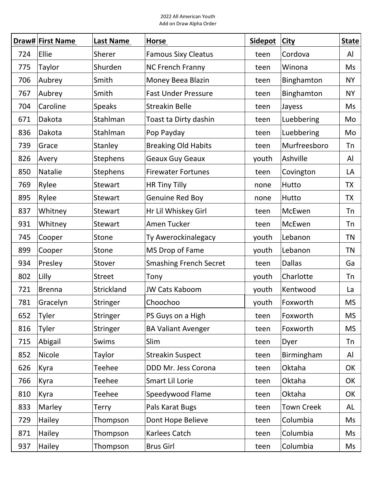|     | Draw# First Name | Last Name      | Horse                         | <b>Sidepot</b> | <b>City</b>       | <b>State</b> |
|-----|------------------|----------------|-------------------------------|----------------|-------------------|--------------|
| 724 | Ellie            | Sherer         | <b>Famous Sixy Cleatus</b>    | teen           | Cordova           | Al           |
| 775 | Taylor           | Shurden        | <b>NC French Franny</b>       | teen           | Winona            | Ms           |
| 706 | Aubrey           | Smith          | Money Beea Blazin             | teen           | Binghamton        | <b>NY</b>    |
| 767 | Aubrey           | Smith          | <b>Fast Under Pressure</b>    | teen           | Binghamton        | <b>NY</b>    |
| 704 | Caroline         | <b>Speaks</b>  | <b>Streakin Belle</b>         | teen           | Jayess            | Ms           |
| 671 | Dakota           | Stahlman       | Toast ta Dirty dashin         | teen           | Luebbering        | Mo           |
| 836 | Dakota           | Stahlman       | Pop Payday                    | teen           | Luebbering        | Mo           |
| 739 | Grace            | Stanley        | <b>Breaking Old Habits</b>    | teen           | Murfreesboro      | Tn           |
| 826 | Avery            | Stephens       | Geaux Guy Geaux               | youth          | Ashville          | Al           |
| 850 | <b>Natalie</b>   | Stephens       | <b>Firewater Fortunes</b>     | teen           | Covington         | LA           |
| 769 | Rylee            | <b>Stewart</b> | HR Tiny Tilly                 | none           | Hutto             | <b>TX</b>    |
| 895 | Rylee            | <b>Stewart</b> | Genuine Red Boy               | none           | Hutto             | <b>TX</b>    |
| 837 | Whitney          | <b>Stewart</b> | Hr Lil Whiskey Girl           | teen           | McEwen            | Tn           |
| 931 | Whitney          | <b>Stewart</b> | Amen Tucker                   | teen           | McEwen            | Tn           |
| 745 | Cooper           | Stone          | Ty Awerockinalegacy           | youth          | Lebanon           | <b>TN</b>    |
| 899 | Cooper           | Stone          | MS Drop of Fame               | youth          | Lebanon           | <b>TN</b>    |
| 934 | Presley          | Stover         | <b>Smashing French Secret</b> | teen           | <b>Dallas</b>     | Ga           |
| 802 | Lilly            | <b>Street</b>  | Tony                          | youth          | Charlotte         | <b>Tn</b>    |
| 721 | <b>Brenna</b>    | Strickland     | <b>JW Cats Kaboom</b>         | youth          | Kentwood          | La           |
| 781 | Gracelyn         | Stringer       | Choochoo                      | youth          | Foxworth          | <b>MS</b>    |
| 652 | Tyler            | Stringer       | PS Guys on a High             | teen           | Foxworth          | <b>MS</b>    |
| 816 | Tyler            | Stringer       | <b>BA Valiant Avenger</b>     | teen           | Foxworth          | <b>MS</b>    |
| 715 | Abigail          | <b>Swims</b>   | Slim                          | teen           | Dyer              | Tn           |
| 852 | Nicole           | Taylor         | <b>Streakin Suspect</b>       | teen           | Birmingham        | Al           |
| 626 | Kyra             | <b>Teehee</b>  | DDD Mr. Jess Corona           | teen           | Oktaha            | OK           |
| 766 | Kyra             | <b>Teehee</b>  | Smart Lil Lorie               | teen           | Oktaha            | OK           |
| 810 | Kyra             | <b>Teehee</b>  | Speedywood Flame              | teen           | Oktaha            | OK           |
| 833 | Marley           | Terry          | Pals Karat Bugs               | teen           | <b>Town Creek</b> | AL           |
| 729 | Hailey           | Thompson       | Dont Hope Believe             | teen           | Columbia          | Ms           |
| 871 | Hailey           | Thompson       | Karlees Catch                 | teen           | Columbia          | Ms           |
| 937 | Hailey           | Thompson       | <b>Brus Girl</b>              | teen           | Columbia          | Ms           |